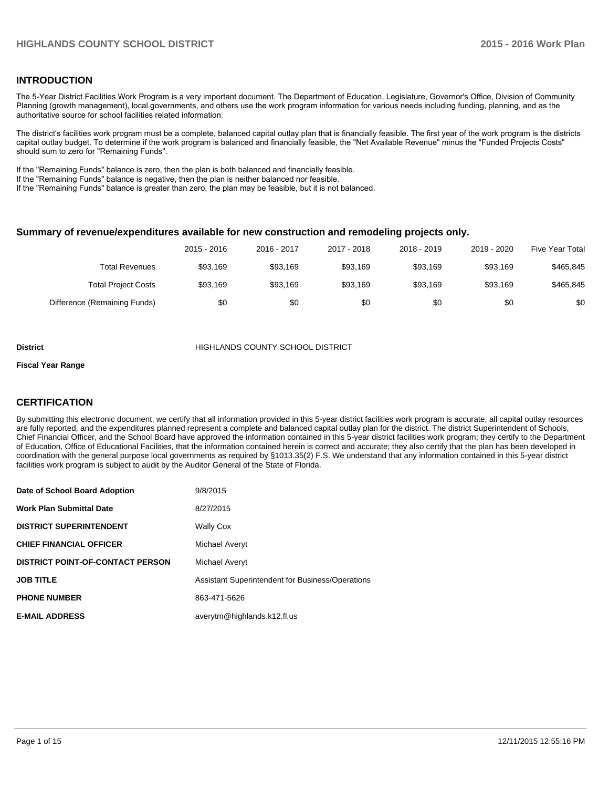### **INTRODUCTION**

The 5-Year District Facilities Work Program is a very important document. The Department of Education, Legislature, Governor's Office, Division of Community Planning (growth management), local governments, and others use the work program information for various needs including funding, planning, and as the authoritative source for school facilities related information.

The district's facilities work program must be a complete, balanced capital outlay plan that is financially feasible. The first year of the work program is the districts capital outlay budget. To determine if the work program is balanced and financially feasible, the "Net Available Revenue" minus the "Funded Projects Costs" should sum to zero for "Remaining Funds".

If the "Remaining Funds" balance is zero, then the plan is both balanced and financially feasible.

If the "Remaining Funds" balance is negative, then the plan is neither balanced nor feasible.

If the "Remaining Funds" balance is greater than zero, the plan may be feasible, but it is not balanced.

#### **Summary of revenue/expenditures available for new construction and remodeling projects only.**

|                              | 2015 - 2016 | 2016 - 2017 | 2017 - 2018 | 2018 - 2019 | 2019 - 2020 | <b>Five Year Total</b> |
|------------------------------|-------------|-------------|-------------|-------------|-------------|------------------------|
| Total Revenues               | \$93.169    | \$93.169    | \$93.169    | \$93.169    | \$93,169    | \$465,845              |
| <b>Total Project Costs</b>   | \$93.169    | \$93.169    | \$93.169    | \$93.169    | \$93,169    | \$465,845              |
| Difference (Remaining Funds) | \$0         | \$0         | \$0         | \$0         | \$0         | \$0                    |

#### **District COUNTY SCHOOL DISTRICT**

#### **Fiscal Year Range**

### **CERTIFICATION**

By submitting this electronic document, we certify that all information provided in this 5-year district facilities work program is accurate, all capital outlay resources are fully reported, and the expenditures planned represent a complete and balanced capital outlay plan for the district. The district Superintendent of Schools, Chief Financial Officer, and the School Board have approved the information contained in this 5-year district facilities work program; they certify to the Department of Education, Office of Educational Facilities, that the information contained herein is correct and accurate; they also certify that the plan has been developed in coordination with the general purpose local governments as required by §1013.35(2) F.S. We understand that any information contained in this 5-year district facilities work program is subject to audit by the Auditor General of the State of Florida.

| Date of School Board Adoption           | 9/8/2015                                         |
|-----------------------------------------|--------------------------------------------------|
| <b>Work Plan Submittal Date</b>         | 8/27/2015                                        |
| <b>DISTRICT SUPERINTENDENT</b>          | <b>Wally Cox</b>                                 |
| <b>CHIEF FINANCIAL OFFICER</b>          | Michael Averyt                                   |
| <b>DISTRICT POINT-OF-CONTACT PERSON</b> | Michael Averyt                                   |
| <b>JOB TITLE</b>                        | Assistant Superintendent for Business/Operations |
| <b>PHONE NUMBER</b>                     | 863-471-5626                                     |
| <b>E-MAIL ADDRESS</b>                   | averytm@highlands.k12.fl.us                      |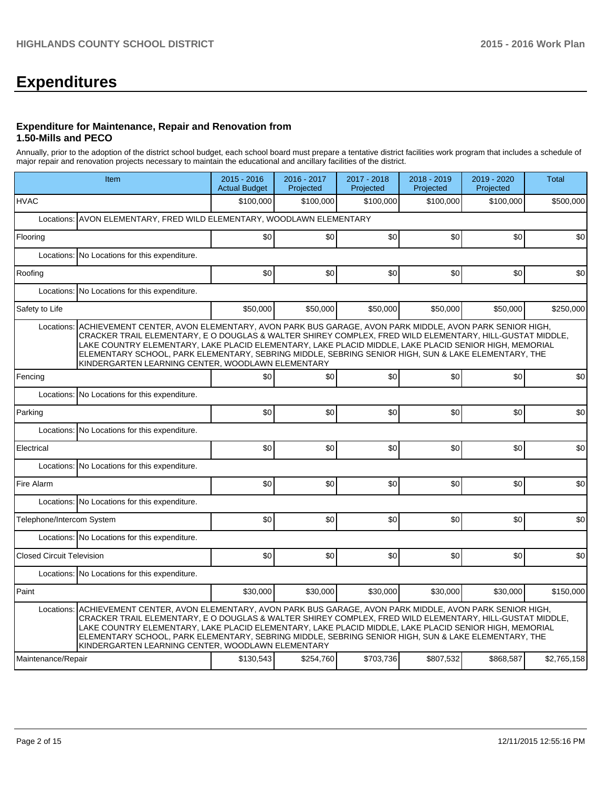# **Expenditures**

#### **Expenditure for Maintenance, Repair and Renovation from 1.50-Mills and PECO**

Annually, prior to the adoption of the district school budget, each school board must prepare a tentative district facilities work program that includes a schedule of major repair and renovation projects necessary to maintain the educational and ancillary facilities of the district.

|                                  | Item                                                                                                                                                                                                                                                                                                                                                                                                                                                                                             | 2015 - 2016<br><b>Actual Budget</b> | 2016 - 2017<br>Projected | 2017 - 2018<br>Projected | 2018 - 2019<br>Projected | 2019 - 2020<br>Projected | <b>Total</b> |
|----------------------------------|--------------------------------------------------------------------------------------------------------------------------------------------------------------------------------------------------------------------------------------------------------------------------------------------------------------------------------------------------------------------------------------------------------------------------------------------------------------------------------------------------|-------------------------------------|--------------------------|--------------------------|--------------------------|--------------------------|--------------|
| <b>HVAC</b>                      |                                                                                                                                                                                                                                                                                                                                                                                                                                                                                                  | \$100.000                           | \$100,000                | \$100,000                | \$100,000                | \$100,000                | \$500,000    |
| Locations:                       | AVON ELEMENTARY, FRED WILD ELEMENTARY, WOODLAWN ELEMENTARY                                                                                                                                                                                                                                                                                                                                                                                                                                       |                                     |                          |                          |                          |                          |              |
| Flooring                         |                                                                                                                                                                                                                                                                                                                                                                                                                                                                                                  | SO <sub>2</sub>                     | \$0                      | \$0                      | \$0                      | \$0                      | \$0          |
|                                  | Locations: No Locations for this expenditure.                                                                                                                                                                                                                                                                                                                                                                                                                                                    |                                     |                          |                          |                          |                          |              |
| Roofing                          |                                                                                                                                                                                                                                                                                                                                                                                                                                                                                                  | \$0                                 | \$0                      | \$0                      | \$0                      | \$0                      | \$0          |
|                                  | Locations: No Locations for this expenditure.                                                                                                                                                                                                                                                                                                                                                                                                                                                    |                                     |                          |                          |                          |                          |              |
| Safety to Life                   |                                                                                                                                                                                                                                                                                                                                                                                                                                                                                                  | \$50,000                            | \$50.000                 | \$50,000                 | \$50,000                 | \$50,000                 | \$250,000    |
| Locations:                       | ACHIEVEMENT CENTER, AVON ELEMENTARY, AVON PARK BUS GARAGE, AVON PARK MIDDLE, AVON PARK SENIOR HIGH,<br>CRACKER TRAIL ELEMENTARY, E O DOUGLAS & WALTER SHIREY COMPLEX, FRED WILD ELEMENTARY, HILL-GUSTAT MIDDLE,<br>LAKE COUNTRY ELEMENTARY, LAKE PLACID ELEMENTARY, LAKE PLACID MIDDLE, LAKE PLACID SENIOR HIGH, MEMORIAL<br>ELEMENTARY SCHOOL, PARK ELEMENTARY, SEBRING MIDDLE, SEBRING SENIOR HIGH, SUN & LAKE ELEMENTARY, THE<br>KINDERGARTEN LEARNING CENTER, WOODLAWN ELEMENTARY            |                                     |                          |                          |                          |                          |              |
| Fencing                          |                                                                                                                                                                                                                                                                                                                                                                                                                                                                                                  | \$0                                 | \$0                      | \$0                      | \$0                      | \$0                      | \$0          |
|                                  | Locations: No Locations for this expenditure.                                                                                                                                                                                                                                                                                                                                                                                                                                                    |                                     |                          |                          |                          |                          |              |
| Parking                          |                                                                                                                                                                                                                                                                                                                                                                                                                                                                                                  | \$0                                 | \$0                      | \$0                      | \$0                      | \$0                      | \$0          |
|                                  | Locations: No Locations for this expenditure.                                                                                                                                                                                                                                                                                                                                                                                                                                                    |                                     |                          |                          |                          |                          |              |
| Electrical                       |                                                                                                                                                                                                                                                                                                                                                                                                                                                                                                  | \$0                                 | \$0                      | \$0                      | \$0                      | \$0                      | \$0          |
| Locations:                       | No Locations for this expenditure.                                                                                                                                                                                                                                                                                                                                                                                                                                                               |                                     |                          |                          |                          |                          |              |
| Fire Alarm                       |                                                                                                                                                                                                                                                                                                                                                                                                                                                                                                  | \$0                                 | \$0                      | \$0                      | \$0                      | \$0                      | \$0          |
|                                  | Locations: No Locations for this expenditure.                                                                                                                                                                                                                                                                                                                                                                                                                                                    |                                     |                          |                          |                          |                          |              |
| Telephone/Intercom System        |                                                                                                                                                                                                                                                                                                                                                                                                                                                                                                  | \$0                                 | \$0                      | \$0                      | \$0                      | \$0                      | \$0          |
|                                  | Locations: No Locations for this expenditure.                                                                                                                                                                                                                                                                                                                                                                                                                                                    |                                     |                          |                          |                          |                          |              |
| <b>Closed Circuit Television</b> |                                                                                                                                                                                                                                                                                                                                                                                                                                                                                                  | \$0                                 | \$0                      | \$0                      | \$0                      | \$0                      | \$0          |
|                                  | Locations: No Locations for this expenditure.                                                                                                                                                                                                                                                                                                                                                                                                                                                    |                                     |                          |                          |                          |                          |              |
| Paint                            |                                                                                                                                                                                                                                                                                                                                                                                                                                                                                                  | \$30,000                            | \$30.000                 | \$30,000                 | \$30,000                 | \$30,000                 | \$150,000    |
|                                  | Locations: ACHIEVEMENT CENTER, AVON ELEMENTARY, AVON PARK BUS GARAGE, AVON PARK MIDDLE, AVON PARK SENIOR HIGH,<br>CRACKER TRAIL ELEMENTARY, E O DOUGLAS & WALTER SHIREY COMPLEX, FRED WILD ELEMENTARY, HILL-GUSTAT MIDDLE,<br>LAKE COUNTRY ELEMENTARY. LAKE PLACID ELEMENTARY. LAKE PLACID MIDDLE. LAKE PLACID SENIOR HIGH. MEMORIAL<br>ELEMENTARY SCHOOL, PARK ELEMENTARY, SEBRING MIDDLE, SEBRING SENIOR HIGH, SUN & LAKE ELEMENTARY, THE<br>KINDERGARTEN LEARNING CENTER, WOODLAWN ELEMENTARY |                                     |                          |                          |                          |                          |              |
| Maintenance/Repair               |                                                                                                                                                                                                                                                                                                                                                                                                                                                                                                  | \$130,543                           | \$254,760                | \$703,736                | \$807,532                | \$868,587                | \$2,765,158  |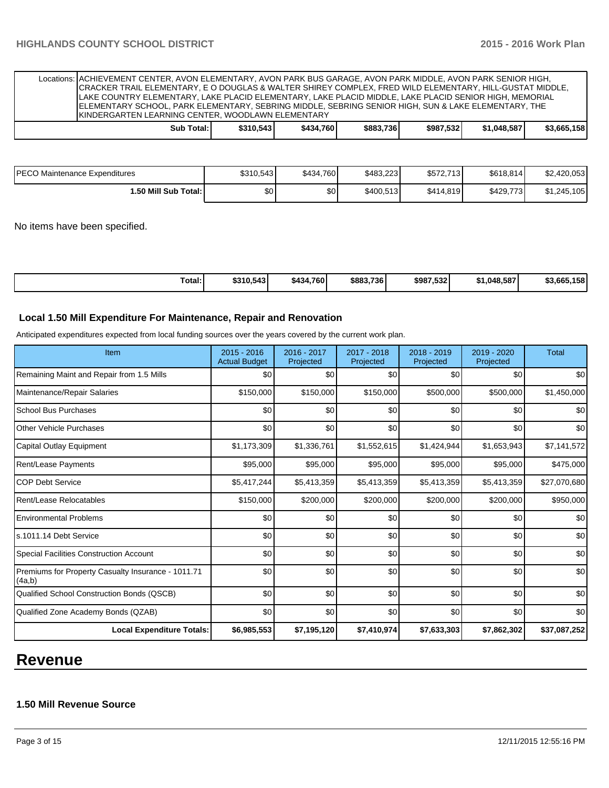| Locations: ACHIEVEMENT CENTER, AVON ELEMENTARY, AVON PARK BUS GARAGE, AVON PARK MIDDLE, AVON PARK SENIOR HIGH,<br>CRACKER TRAIL ELEMENTARY, E O DOUGLAS & WALTER SHIREY COMPLEX, FRED WILD ELEMENTARY, HILL-GUSTAT MIDDLE,<br>LAKE COUNTRY ELEMENTARY, LAKE PLACID ELEMENTARY, LAKE PLACID MIDDLE, LAKE PLACID SENIOR HIGH, MEMORIAL<br>ELEMENTARY SCHOOL, PARK ELEMENTARY, SEBRING MIDDLE, SEBRING SENIOR HIGH, SUN & LAKE ELEMENTARY, THE<br><b>KINDERGARTEN LEARNING CENTER, WOODLAWN ELEMENTARY</b> |           |           |           |           |             |             |
|---------------------------------------------------------------------------------------------------------------------------------------------------------------------------------------------------------------------------------------------------------------------------------------------------------------------------------------------------------------------------------------------------------------------------------------------------------------------------------------------------------|-----------|-----------|-----------|-----------|-------------|-------------|
| Sub Total:                                                                                                                                                                                                                                                                                                                                                                                                                                                                                              | \$310.543 | \$434.760 | \$883.736 | \$987.532 | \$1.048.587 | \$3.665.158 |

| IPECO Maintenance Expenditures | \$310,543 | \$434.760 | \$483.223 | \$572.713 | \$618,814 | \$2,420,053 |
|--------------------------------|-----------|-----------|-----------|-----------|-----------|-------------|
| 1.50 Mill Sub Total: I         | \$0       | \$0       | \$400,513 | \$414,819 | \$429,773 | \$1,245,105 |

No items have been specified.

| Total: | \$310,543 | \$434.760 | \$883,736 | \$987.532 | \$1,048,587 | \$3.665<br>4 E O I<br>ାଠେ |
|--------|-----------|-----------|-----------|-----------|-------------|---------------------------|
|--------|-----------|-----------|-----------|-----------|-------------|---------------------------|

### **Local 1.50 Mill Expenditure For Maintenance, Repair and Renovation**

Anticipated expenditures expected from local funding sources over the years covered by the current work plan.

| Item                                                         | $2015 - 2016$<br><b>Actual Budget</b> | 2016 - 2017<br>Projected | 2017 - 2018<br>Projected | $2018 - 2019$<br>Projected | $2019 - 2020$<br>Projected | <b>Total</b> |
|--------------------------------------------------------------|---------------------------------------|--------------------------|--------------------------|----------------------------|----------------------------|--------------|
| Remaining Maint and Repair from 1.5 Mills                    | \$0                                   | \$0                      | \$0                      | \$0                        | \$0                        | \$0          |
| Maintenance/Repair Salaries                                  | \$150,000                             | \$150,000                | \$150,000                | \$500,000                  | \$500,000                  | \$1,450,000  |
| <b>School Bus Purchases</b>                                  | \$0                                   | \$0                      | \$0                      | \$0                        | \$0                        | \$0          |
| <b>Other Vehicle Purchases</b>                               | \$0                                   | \$0                      | \$0                      | \$0                        | \$0                        | \$0          |
| Capital Outlay Equipment                                     | \$1,173,309                           | \$1,336,761              | \$1,552,615              | \$1,424,944                | \$1,653,943                | \$7,141,572  |
| Rent/Lease Payments                                          | \$95,000                              | \$95,000                 | \$95,000                 | \$95,000                   | \$95,000                   | \$475,000    |
| <b>COP Debt Service</b>                                      | \$5,417,244                           | \$5,413,359              | \$5,413,359              | \$5,413,359                | \$5,413,359                | \$27,070,680 |
| Rent/Lease Relocatables                                      | \$150,000                             | \$200,000                | \$200,000                | \$200,000                  | \$200,000                  | \$950,000    |
| <b>Environmental Problems</b>                                | \$0                                   | \$0                      | \$0                      | \$0                        | \$0                        | \$0          |
| ls.1011.14 Debt Service                                      | \$0                                   | \$0                      | \$0                      | \$0                        | \$0                        | \$0          |
| Special Facilities Construction Account                      | \$0                                   | \$0                      | \$0                      | \$0                        | \$0                        | \$0          |
| Premiums for Property Casualty Insurance - 1011.71<br>(4a,b) | \$0                                   | \$0                      | \$0                      | \$0                        | \$0                        | \$0          |
| Qualified School Construction Bonds (QSCB)                   | \$0                                   | \$0                      | \$0                      | \$0                        | \$0                        | \$0          |
| Qualified Zone Academy Bonds (QZAB)                          | \$0                                   | \$0                      | \$0                      | \$0                        | \$0                        | \$0          |
| <b>Local Expenditure Totals:</b>                             | \$6,985,553                           | \$7,195,120              | \$7,410,974              | \$7,633,303                | \$7,862,302                | \$37,087,252 |

# **Revenue**

# **1.50 Mill Revenue Source**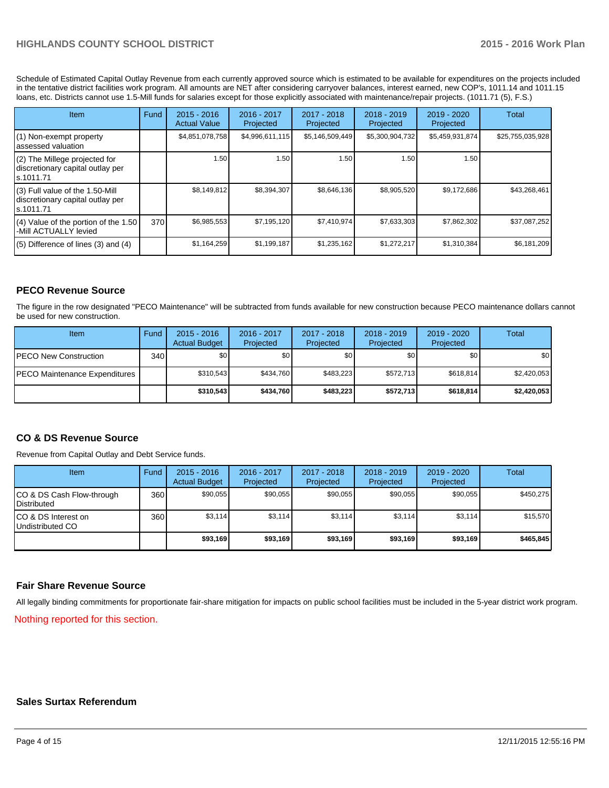## **HIGHLANDS COUNTY SCHOOL DISTRICT 2015 - 2016 Work Plan**

Schedule of Estimated Capital Outlay Revenue from each currently approved source which is estimated to be available for expenditures on the projects included in the tentative district facilities work program. All amounts are NET after considering carryover balances, interest earned, new COP's, 1011.14 and 1011.15 loans, etc. Districts cannot use 1.5-Mill funds for salaries except for those explicitly associated with maintenance/repair projects. (1011.71 (5), F.S.)

| Item                                                                                | Fund | $2015 - 2016$<br><b>Actual Value</b> | $2016 - 2017$<br>Projected | $2017 - 2018$<br>Projected | $2018 - 2019$<br>Projected | $2019 - 2020$<br>Projected | Total            |
|-------------------------------------------------------------------------------------|------|--------------------------------------|----------------------------|----------------------------|----------------------------|----------------------------|------------------|
| (1) Non-exempt property<br>lassessed valuation                                      |      | \$4,851,078,758                      | \$4,996,611,115            | \$5,146,509,449            | \$5,300,904,732            | \$5,459,931,874            | \$25,755,035,928 |
| (2) The Millege projected for<br>discretionary capital outlay per<br>ls.1011.71     |      | 1.50                                 | 1.50                       | 1.50                       | 1.50                       | 1.50                       |                  |
| $(3)$ Full value of the 1.50-Mill<br>discretionary capital outlay per<br>ls.1011.71 |      | \$8,149,812                          | \$8,394,307                | \$8,646,136                | \$8,905,520                | \$9,172,686                | \$43,268,461     |
| $(4)$ Value of the portion of the 1.50<br>-Mill ACTUALLY levied                     | 370  | \$6,985,553                          | \$7.195.120                | \$7,410,974                | \$7,633,303                | \$7,862,302                | \$37,087,252     |
| $(5)$ Difference of lines $(3)$ and $(4)$                                           |      | \$1,164,259                          | \$1,199,187                | \$1,235,162                | \$1,272,217                | \$1,310,384                | \$6,181,209      |

### **PECO Revenue Source**

The figure in the row designated "PECO Maintenance" will be subtracted from funds available for new construction because PECO maintenance dollars cannot be used for new construction.

| Item                                  | Fund | $2015 - 2016$<br><b>Actual Budget</b> | 2016 - 2017<br>Projected | 2017 - 2018<br>Projected | $2018 - 2019$<br>Projected | $2019 - 2020$<br>Projected | Total       |
|---------------------------------------|------|---------------------------------------|--------------------------|--------------------------|----------------------------|----------------------------|-------------|
| <b>IPECO New Construction</b>         | 340  | \$0                                   | \$0 <sub>1</sub>         | \$0                      | \$OI                       | \$0                        | \$0         |
| <b>IPECO Maintenance Expenditures</b> |      | \$310.543                             | \$434.760                | \$483.223                | \$572.713                  | \$618,814                  | \$2,420,053 |
|                                       |      | \$310.543                             | \$434.760                | \$483.223                | \$572.713                  | \$618,814                  | \$2,420,053 |

#### **CO & DS Revenue Source**

Revenue from Capital Outlay and Debt Service funds.

| Item                                              | Fund | $2015 - 2016$<br><b>Actual Budget</b> | $2016 - 2017$<br>Projected | 2017 - 2018<br>Projected | $2018 - 2019$<br>Projected | $2019 - 2020$<br>Projected | Total     |
|---------------------------------------------------|------|---------------------------------------|----------------------------|--------------------------|----------------------------|----------------------------|-----------|
| CO & DS Cash Flow-through<br><b>I</b> Distributed | 360  | \$90.055                              | \$90,055                   | \$90.055                 | \$90.055                   | \$90,055                   | \$450.275 |
| ICO & DS Interest on<br>Undistributed CO          | 360  | \$3,114                               | \$3,114                    | \$3,114                  | \$3.114                    | \$3,114                    | \$15,570  |
|                                                   |      | \$93,169                              | \$93,169                   | \$93,169                 | \$93.169                   | \$93,169                   | \$465,845 |

#### **Fair Share Revenue Source**

All legally binding commitments for proportionate fair-share mitigation for impacts on public school facilities must be included in the 5-year district work program.

Nothing reported for this section.

#### **Sales Surtax Referendum**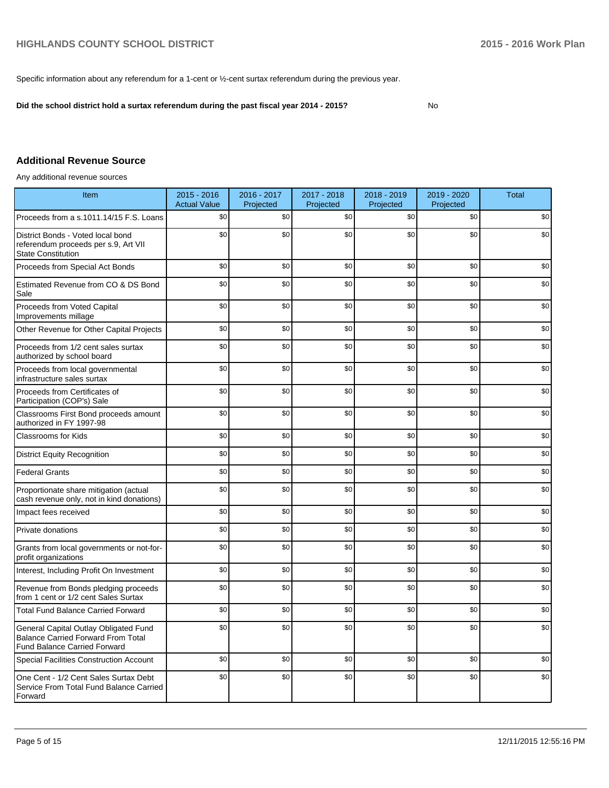Specific information about any referendum for a 1-cent or ½-cent surtax referendum during the previous year.

**Did the school district hold a surtax referendum during the past fiscal year 2014 - 2015?**

No

# **Additional Revenue Source**

Any additional revenue sources

| Item                                                                                                                      | 2015 - 2016<br><b>Actual Value</b> | 2016 - 2017<br>Projected | 2017 - 2018<br>Projected | 2018 - 2019<br>Projected | 2019 - 2020<br>Projected | Total |
|---------------------------------------------------------------------------------------------------------------------------|------------------------------------|--------------------------|--------------------------|--------------------------|--------------------------|-------|
| Proceeds from a s.1011.14/15 F.S. Loans                                                                                   | \$0                                | \$0                      | \$0                      | \$0                      | \$0                      | \$0   |
| District Bonds - Voted local bond<br>referendum proceeds per s.9, Art VII<br><b>State Constitution</b>                    | \$0                                | \$0                      | \$0                      | \$0                      | \$0                      | \$0   |
| Proceeds from Special Act Bonds                                                                                           | \$0                                | \$0                      | \$0                      | \$0                      | \$0                      | \$0   |
| Estimated Revenue from CO & DS Bond<br>Sale                                                                               | \$0                                | \$0                      | \$0                      | \$0                      | \$0                      | \$0   |
| Proceeds from Voted Capital<br>Improvements millage                                                                       | \$0                                | \$0                      | \$0                      | \$0                      | \$0                      | \$0   |
| Other Revenue for Other Capital Projects                                                                                  | \$0                                | \$0                      | \$0                      | \$0                      | \$0                      | \$0   |
| Proceeds from 1/2 cent sales surtax<br>authorized by school board                                                         | \$0                                | \$0                      | \$0                      | \$0                      | \$0                      | \$0   |
| Proceeds from local governmental<br>infrastructure sales surtax                                                           | \$0                                | \$0                      | \$0                      | \$0                      | \$0                      | \$0   |
| Proceeds from Certificates of<br>Participation (COP's) Sale                                                               | \$0                                | \$0                      | \$0                      | \$0                      | \$0                      | \$0   |
| Classrooms First Bond proceeds amount<br>authorized in FY 1997-98                                                         | \$0                                | \$0                      | \$0                      | \$0                      | \$0                      | \$0   |
| <b>Classrooms for Kids</b>                                                                                                | \$0                                | \$0                      | \$0                      | \$0                      | \$0                      | \$0   |
| <b>District Equity Recognition</b>                                                                                        | \$0                                | \$0                      | \$0                      | \$0                      | \$0                      | \$0   |
| <b>Federal Grants</b>                                                                                                     | \$0                                | \$0                      | \$0                      | \$0                      | \$0                      | \$0   |
| Proportionate share mitigation (actual<br>cash revenue only, not in kind donations)                                       | \$0                                | \$0                      | \$0                      | \$0                      | \$0                      | \$0   |
| Impact fees received                                                                                                      | \$0                                | \$0                      | \$0                      | \$0                      | \$0                      | \$0   |
| Private donations                                                                                                         | \$0                                | \$0                      | \$0                      | \$0                      | \$0                      | \$0   |
| Grants from local governments or not-for-<br>profit organizations                                                         | \$0                                | \$0                      | \$0                      | \$0                      | \$0                      | \$0   |
| Interest, Including Profit On Investment                                                                                  | \$0                                | \$0                      | \$0                      | \$0                      | \$0                      | \$0   |
| Revenue from Bonds pledging proceeds<br>from 1 cent or 1/2 cent Sales Surtax                                              | \$0                                | \$0                      | \$0                      | \$0                      | \$0                      | \$0   |
| <b>Total Fund Balance Carried Forward</b>                                                                                 | \$0                                | \$0                      | \$0                      | \$0                      | \$0                      | \$0   |
| General Capital Outlay Obligated Fund<br><b>Balance Carried Forward From Total</b><br><b>Fund Balance Carried Forward</b> | \$0                                | \$0                      | \$0                      | \$0                      | \$0                      | \$0   |
| <b>Special Facilities Construction Account</b>                                                                            | \$0                                | \$0                      | \$0                      | \$0                      | \$0                      | \$0   |
| One Cent - 1/2 Cent Sales Surtax Debt<br>Service From Total Fund Balance Carried<br>Forward                               | \$0                                | \$0                      | \$0                      | \$0                      | \$0                      | \$0   |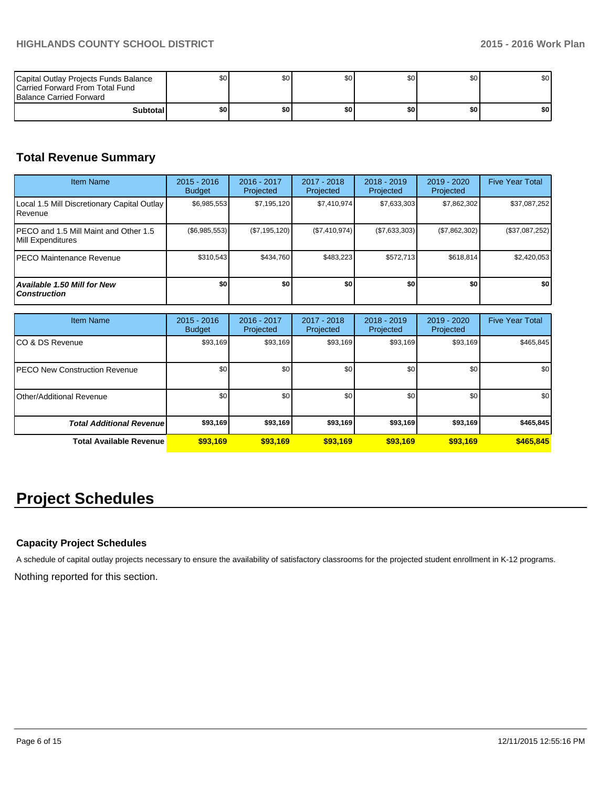| Capital Outlay Projects Funds Balance<br>Carried Forward From Total Fund<br><b>Balance Carried Forward</b> | \$0 | \$0 | \$0 | \$0 I | \$0 | \$0 |
|------------------------------------------------------------------------------------------------------------|-----|-----|-----|-------|-----|-----|
| Subtotal                                                                                                   | \$0 | \$0 | \$0 | \$٥   | \$0 | \$0 |

# **Total Revenue Summary**

| <b>Item Name</b>                                            | $2015 - 2016$<br><b>Budget</b> | 2016 - 2017<br>Projected | 2017 - 2018<br><b>Projected</b> | $2018 - 2019$<br>Projected | $2019 - 2020$<br>Projected | <b>Five Year Total</b> |
|-------------------------------------------------------------|--------------------------------|--------------------------|---------------------------------|----------------------------|----------------------------|------------------------|
| Local 1.5 Mill Discretionary Capital Outlay<br>Revenue      | \$6,985,553                    | \$7,195,120              | \$7.410.974                     | \$7.633.303                | \$7,862,302                | \$37,087,252           |
| IPECO and 1.5 Mill Maint and Other 1.5<br>Mill Expenditures | $(\$6,985,553)$                | (\$7,195,120)            | (S7, 410, 974)                  | (S7, 633, 303)             | (\$7,862,302)              | (\$37,087,252)         |
| IPECO Maintenance Revenue                                   | \$310.543                      | \$434.760                | \$483.223                       | \$572.713                  | \$618,814                  | \$2,420,053            |
| <b>Available 1.50 Mill for New</b><br><b>Construction</b>   | \$O                            | \$0                      | \$0                             | \$0                        | \$0                        | \$0                    |

| <b>Item Name</b>                      | $2015 - 2016$<br><b>Budget</b> | 2016 - 2017<br>Projected | 2017 - 2018<br>Projected | $2018 - 2019$<br>Projected | $2019 - 2020$<br>Projected | <b>Five Year Total</b> |
|---------------------------------------|--------------------------------|--------------------------|--------------------------|----------------------------|----------------------------|------------------------|
| ICO & DS Revenue                      | \$93,169                       | \$93,169                 | \$93,169                 | \$93,169                   | \$93,169                   | \$465,845              |
| <b>IPECO New Construction Revenue</b> | \$0                            | \$0                      | \$0                      | \$0                        | \$0                        | \$0                    |
| Other/Additional Revenue              | \$0                            | \$0                      | \$0                      | \$0 <sub>1</sub>           | \$0                        | \$0                    |
| <b>Total Additional Revenuel</b>      | \$93,169                       | \$93,169                 | \$93,169                 | \$93,169                   | \$93,169                   | \$465,845              |
| <b>Total Available Revenue</b>        | \$93,169                       | \$93.169                 | \$93,169                 | \$93,169                   | \$93.169                   | \$465,845              |

# **Project Schedules**

# **Capacity Project Schedules**

A schedule of capital outlay projects necessary to ensure the availability of satisfactory classrooms for the projected student enrollment in K-12 programs.

Nothing reported for this section.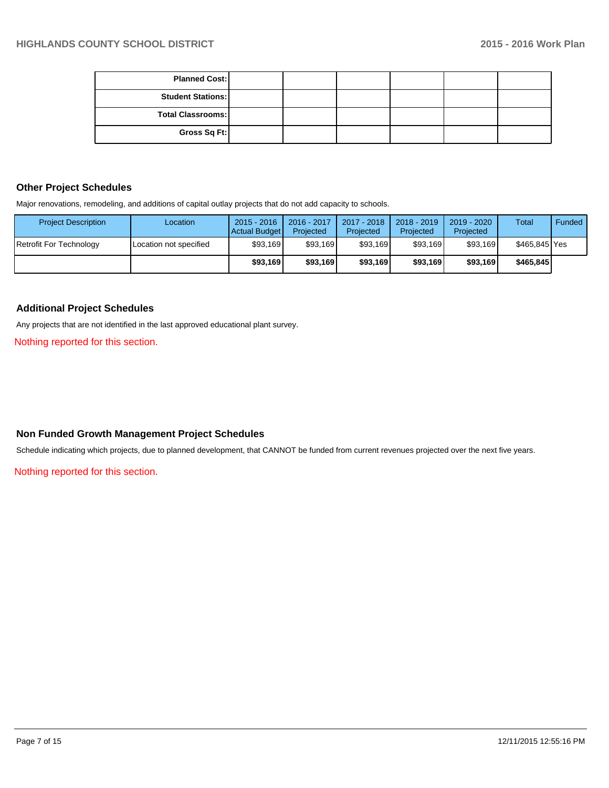| <b>Planned Cost:</b>     |  |  |  |
|--------------------------|--|--|--|
| <b>Student Stations:</b> |  |  |  |
| <b>Total Classrooms:</b> |  |  |  |
| Gross Sq Ft:             |  |  |  |

# **Other Project Schedules**

Major renovations, remodeling, and additions of capital outlay projects that do not add capacity to schools.

| <b>Project Description</b> | Location               | $2015 - 2016$<br>Actual Budget | 2016 - 2017<br>Projected | 2017 - 2018<br>Projected | $2018 - 2019$<br>Projected | 2019 - 2020<br>Projected | Total         | Funded |
|----------------------------|------------------------|--------------------------------|--------------------------|--------------------------|----------------------------|--------------------------|---------------|--------|
| Retrofit For Technology    | Location not specified | \$93,169                       | \$93,169                 | \$93,169                 | \$93,169                   | \$93,169                 | \$465,845 Yes |        |
|                            |                        | \$93,169                       | \$93.169                 | \$93,169                 | \$93.169                   | \$93.169                 | \$465,845     |        |

### **Additional Project Schedules**

Any projects that are not identified in the last approved educational plant survey.

Nothing reported for this section.

#### **Non Funded Growth Management Project Schedules**

Schedule indicating which projects, due to planned development, that CANNOT be funded from current revenues projected over the next five years.

Nothing reported for this section.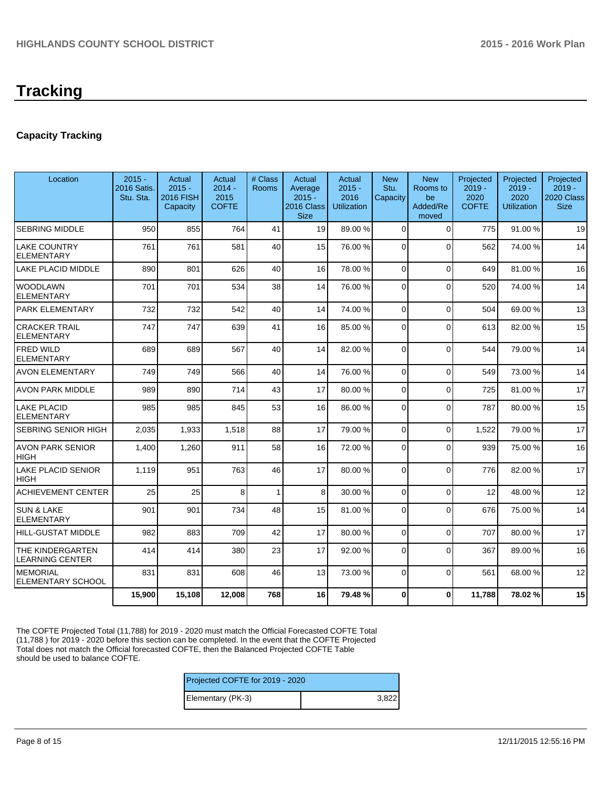# **Tracking**

# **Capacity Tracking**

| Location                                          | $2015 -$<br><b>2016 Satis.</b><br>Stu. Sta. | Actual<br>$2015 -$<br><b>2016 FISH</b><br>Capacity | Actual<br>$2014 -$<br>2015<br><b>COFTE</b> | # Class<br>Rooms | Actual<br>Average<br>$2015 -$<br>2016 Class<br><b>Size</b> | Actual<br>$2015 -$<br>2016<br>Utilization | <b>New</b><br>Stu.<br>Capacity | <b>New</b><br>Rooms to<br>be<br>Added/Re<br>moved | Projected<br>$2019 -$<br>2020<br><b>COFTE</b> | Projected<br>$2019 -$<br>2020<br><b>Utilization</b> | Projected<br>$2019 -$<br>2020 Class<br><b>Size</b> |
|---------------------------------------------------|---------------------------------------------|----------------------------------------------------|--------------------------------------------|------------------|------------------------------------------------------------|-------------------------------------------|--------------------------------|---------------------------------------------------|-----------------------------------------------|-----------------------------------------------------|----------------------------------------------------|
| <b>SEBRING MIDDLE</b>                             | 950                                         | 855                                                | 764                                        | 41               | 19                                                         | 89.00 %                                   | $\Omega$                       | $\Omega$                                          | 775                                           | 91.00%                                              | 19                                                 |
| <b>LAKE COUNTRY</b><br><b>ELEMENTARY</b>          | 761                                         | 761                                                | 581                                        | 40               | 15                                                         | 76.00 %                                   | $\Omega$                       | $\Omega$                                          | 562                                           | 74.00 %                                             | 14                                                 |
| LAKE PLACID MIDDLE                                | 890                                         | 801                                                | 626                                        | 40               | 16                                                         | 78.00 %                                   | $\Omega$                       | $\Omega$                                          | 649                                           | 81.00%                                              | 16                                                 |
| <b>WOODLAWN</b><br><b>ELEMENTARY</b>              | 701                                         | 701                                                | 534                                        | 38               | 14                                                         | 76.00 %                                   | $\Omega$                       | $\Omega$                                          | 520                                           | 74.00 %                                             | 14                                                 |
| PARK ELEMENTARY                                   | 732                                         | 732                                                | 542                                        | 40               | 14                                                         | 74.00 %                                   | $\Omega$                       | $\Omega$                                          | 504                                           | 69.00%                                              | 13                                                 |
| <b>CRACKER TRAIL</b><br><b>ELEMENTARY</b>         | 747                                         | 747                                                | 639                                        | 41               | 16                                                         | 85.00 %                                   | $\Omega$                       | $\Omega$                                          | 613                                           | 82.00%                                              | 15                                                 |
| <b>FRED WILD</b><br><b>ELEMENTARY</b>             | 689                                         | 689                                                | 567                                        | 40               | 14                                                         | 82.00 %                                   | $\Omega$                       | $\Omega$                                          | 544                                           | 79.00 %                                             | 14                                                 |
| <b>AVON ELEMENTARY</b>                            | 749                                         | 749                                                | 566                                        | 40               | 14                                                         | 76.00 %                                   | $\Omega$                       | $\Omega$                                          | 549                                           | 73.00 %                                             | 14                                                 |
| AVON PARK MIDDLE                                  | 989                                         | 890                                                | 714                                        | 43               | 17                                                         | 80.00 %                                   | $\Omega$                       | $\Omega$                                          | 725                                           | 81.00%                                              | 17                                                 |
| <b>LAKE PLACID</b><br><b>ELEMENTARY</b>           | 985                                         | 985                                                | 845                                        | 53               | 16 <sup>1</sup>                                            | 86.00 %                                   | $\Omega$                       | $\Omega$                                          | 787                                           | 80.00%                                              | 15                                                 |
| <b>SEBRING SENIOR HIGH</b>                        | 2,035                                       | 1,933                                              | 1,518                                      | 88               | 17                                                         | 79.00 %                                   | $\Omega$                       | $\Omega$                                          | 1,522                                         | 79.00 %                                             | 17                                                 |
| <b>AVON PARK SENIOR</b><br><b>HIGH</b>            | 1,400                                       | 1,260                                              | 911                                        | 58               | 16                                                         | 72.00 %                                   | $\Omega$                       | $\Omega$                                          | 939                                           | 75.00 %                                             | 16                                                 |
| <b>LAKE PLACID SENIOR</b><br><b>HIGH</b>          | 1,119                                       | 951                                                | 763                                        | 46               | 17                                                         | 80.00 %                                   | $\Omega$                       | $\Omega$                                          | 776                                           | 82.00%                                              | 17                                                 |
| <b>ACHIEVEMENT CENTER</b>                         | 25                                          | 25                                                 | 8                                          | $\mathbf{1}$     | 8                                                          | 30.00 %                                   | $\Omega$                       | $\Omega$                                          | 12                                            | 48.00%                                              | 12                                                 |
| <b>SUN &amp; LAKE</b><br><b>ELEMENTARY</b>        | 901                                         | 901                                                | 734                                        | 48               | 15                                                         | 81.00 %                                   | 0                              | $\Omega$                                          | 676                                           | 75.00 %                                             | 14                                                 |
| <b>HILL-GUSTAT MIDDLE</b>                         | 982                                         | 883                                                | 709                                        | 42               | 17                                                         | 80.00 %                                   | $\Omega$                       | $\Omega$                                          | 707                                           | 80.00%                                              | 17                                                 |
| <b>THE KINDERGARTEN</b><br><b>LEARNING CENTER</b> | 414                                         | 414                                                | 380                                        | 23               | 17                                                         | 92.00 %                                   | $\Omega$                       | $\Omega$                                          | 367                                           | 89.00 %                                             | 16                                                 |
| <b>MEMORIAL</b><br><b>ELEMENTARY SCHOOL</b>       | 831                                         | 831                                                | 608                                        | 46               | 13                                                         | 73.00 %                                   | $\Omega$                       | $\Omega$                                          | 561                                           | 68.00 %                                             | 12                                                 |
|                                                   | 15,900                                      | 15,108                                             | 12,008                                     | 768              | 16                                                         | 79.48%                                    | 0                              | $\mathbf{0}$                                      | 11,788                                        | 78.02%                                              | 15                                                 |

The COFTE Projected Total (11,788) for 2019 - 2020 must match the Official Forecasted COFTE Total (11,788 ) for 2019 - 2020 before this section can be completed. In the event that the COFTE Projected Total does not match the Official forecasted COFTE, then the Balanced Projected COFTE Table should be used to balance COFTE.

| Projected COFTE for 2019 - 2020 |       |  |  |  |  |
|---------------------------------|-------|--|--|--|--|
| Elementary (PK-3)               | 3.822 |  |  |  |  |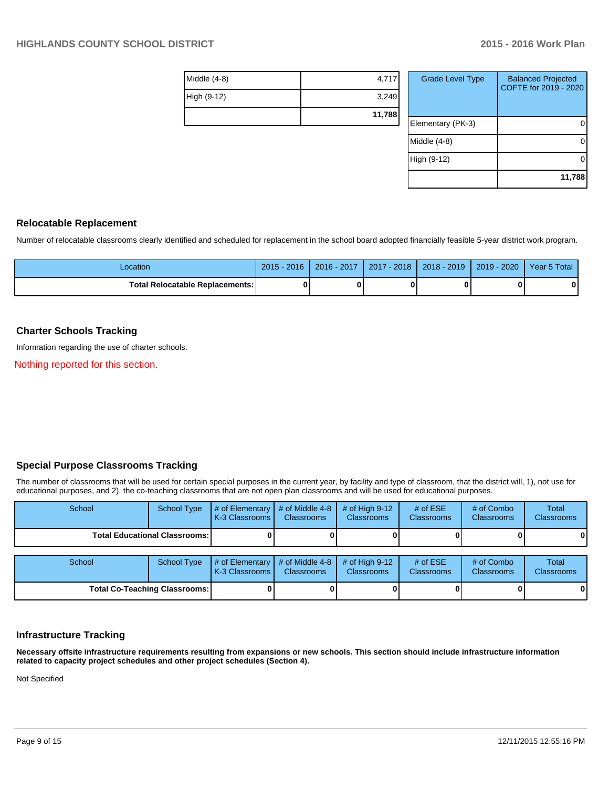| Middle $(4-8)$ | 4,717  |
|----------------|--------|
| High (9-12)    | 3,249  |
|                | 11,788 |

| <b>Grade Level Type</b> | <b>Balanced Projected</b><br>COFTE for 2019 - 2020 |
|-------------------------|----------------------------------------------------|
| Elementary (PK-3)       |                                                    |
| Middle (4-8)            |                                                    |
| High (9-12)             |                                                    |
|                         | 11,788                                             |

#### **Relocatable Replacement**

Number of relocatable classrooms clearly identified and scheduled for replacement in the school board adopted financially feasible 5-year district work program.

| Location                                 | $2015 - 2016$ | 2016 - 2017 | 2017 - 2018 | 2018 - 2019 | $2019 - 2020$ | Year 5 Total |
|------------------------------------------|---------------|-------------|-------------|-------------|---------------|--------------|
| <b>Total Relocatable Replacements: I</b> |               |             |             |             |               | 0            |

### **Charter Schools Tracking**

Information regarding the use of charter schools.

Nothing reported for this section.

# **Special Purpose Classrooms Tracking**

The number of classrooms that will be used for certain special purposes in the current year, by facility and type of classroom, that the district will, 1), not use for educational purposes, and 2), the co-teaching classrooms that are not open plan classrooms and will be used for educational purposes.

| School                                 | School Type | # of Elementary<br>K-3 Classrooms | # of Middle 4-8<br><b>Classrooms</b> | # of High $9-12$<br><b>Classrooms</b> | # of $ESE$<br>Classrooms | # of Combo<br><b>Classrooms</b> | Total<br><b>Classrooms</b> |
|----------------------------------------|-------------|-----------------------------------|--------------------------------------|---------------------------------------|--------------------------|---------------------------------|----------------------------|
| <b>Total Educational Classrooms: I</b> |             |                                   |                                      |                                       |                          |                                 | 01                         |
| School                                 | School Type | # of Elementary<br>K-3 Classrooms | # of Middle 4-8<br><b>Classrooms</b> | # of High $9-12$<br><b>Classrooms</b> | # of $ESE$<br>Classrooms | # of Combo<br><b>Classrooms</b> | Total<br><b>Classrooms</b> |
| <b>Total Co-Teaching Classrooms:</b>   |             |                                   |                                      |                                       |                          | 01                              |                            |

# **Infrastructure Tracking**

**Necessary offsite infrastructure requirements resulting from expansions or new schools. This section should include infrastructure information related to capacity project schedules and other project schedules (Section 4).**

Not Specified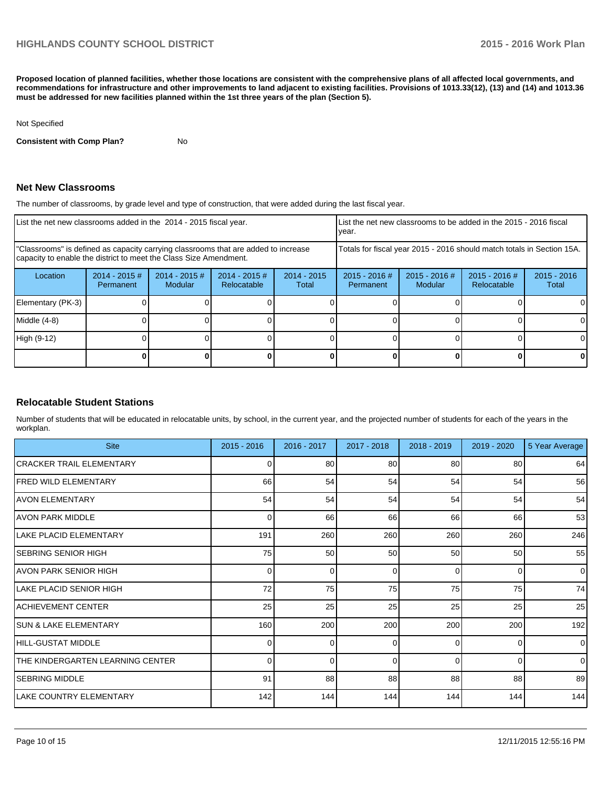**Proposed location of planned facilities, whether those locations are consistent with the comprehensive plans of all affected local governments, and recommendations for infrastructure and other improvements to land adjacent to existing facilities. Provisions of 1013.33(12), (13) and (14) and 1013.36 must be addressed for new facilities planned within the 1st three years of the plan (Section 5).**

#### Not Specified

**Consistent with Comp Plan?** No

#### **Net New Classrooms**

The number of classrooms, by grade level and type of construction, that were added during the last fiscal year.

| List the net new classrooms added in the 2014 - 2015 fiscal year.                                                                                       |                               |                                   |                                | List the net new classrooms to be added in the 2015 - 2016 fiscal<br>Ivear. |                                                                        |                            |                                |                        |
|---------------------------------------------------------------------------------------------------------------------------------------------------------|-------------------------------|-----------------------------------|--------------------------------|-----------------------------------------------------------------------------|------------------------------------------------------------------------|----------------------------|--------------------------------|------------------------|
| "Classrooms" is defined as capacity carrying classrooms that are added to increase<br>capacity to enable the district to meet the Class Size Amendment. |                               |                                   |                                |                                                                             | Totals for fiscal year 2015 - 2016 should match totals in Section 15A. |                            |                                |                        |
| Location                                                                                                                                                | $2014 - 2015 \#$<br>Permanent | $2014 - 2015$ #<br><b>Modular</b> | $2014 - 2015$ #<br>Relocatable | $2014 - 2015$<br>Total                                                      | $2015 - 2016$ #<br>Permanent                                           | $2015 - 2016$ #<br>Modular | $2015 - 2016$ #<br>Relocatable | $2015 - 2016$<br>Total |
| Elementary (PK-3)                                                                                                                                       |                               |                                   |                                |                                                                             |                                                                        |                            |                                |                        |
| $Middle (4-8)$                                                                                                                                          |                               |                                   |                                |                                                                             |                                                                        |                            |                                |                        |
| High (9-12)                                                                                                                                             |                               |                                   |                                |                                                                             |                                                                        |                            |                                |                        |
|                                                                                                                                                         |                               |                                   |                                |                                                                             |                                                                        |                            |                                |                        |

#### **Relocatable Student Stations**

Number of students that will be educated in relocatable units, by school, in the current year, and the projected number of students for each of the years in the workplan.

| <b>Site</b>                      | $2015 - 2016$ | 2016 - 2017 | 2017 - 2018 | 2018 - 2019 | 2019 - 2020     | 5 Year Average |
|----------------------------------|---------------|-------------|-------------|-------------|-----------------|----------------|
| CRACKER TRAIL ELEMENTARY         |               | 80          | 80          | 80          | 80              | 64             |
| <b>IFRED WILD ELEMENTARY</b>     | 66            | 54          | 54          | 54          | 54              | 56             |
| <b>AVON ELEMENTARY</b>           | 54            | 54          | 54          | 54          | 54              | 54             |
| <b>AVON PARK MIDDLE</b>          | $\Omega$      | 66          | 66          | 66          | 66              | 53             |
| LAKE PLACID ELEMENTARY           | 191           | 260         | 260         | 260         | 260             | 246            |
| ISEBRING SENIOR HIGH             | 75            | 50          | 50          | 50          | 50 <sub>1</sub> | 55             |
| AVON PARK SENIOR HIGH            | U             | 0           | ∩           | $\Omega$    | $\Omega$        | $\overline{0}$ |
| ILAKE PLACID SENIOR HIGH         | 72            | 75          | 75          | 75          | 75              | 74             |
| ACHIEVEMENT CENTER               | 25            | 25          | 25          | 25          | 25              | 25             |
| <b>SUN &amp; LAKE ELEMENTARY</b> | 160           | 200         | 200         | 200         | 200             | 192            |
| HILL-GUSTAT MIDDLE               |               | $\Omega$    | ∩           | $\Omega$    | 0               | $\overline{0}$ |
| THE KINDERGARTEN LEARNING CENTER | 0             | $\Omega$    | $\Omega$    | $\Omega$    | $\Omega$        | $\overline{0}$ |
| <b>SEBRING MIDDLE</b>            | 91            | 88          | 88          | 88          | 88              | 89             |
| LAKE COUNTRY ELEMENTARY          | 142           | 144         | 144         | 144         | 144             | 144            |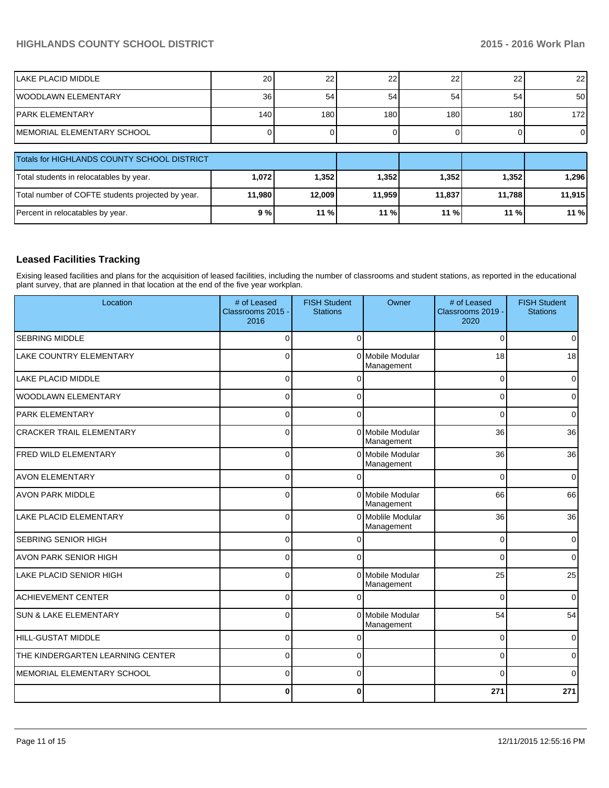# **HIGHLANDS COUNTY SCHOOL DISTRICT 2015 - 2016 Work Plan**

| <b>ILAKE PLACID MIDDLE</b>                        | 20     | 22     | 22     | 22     | 22     | 22               |  |  |  |  |
|---------------------------------------------------|--------|--------|--------|--------|--------|------------------|--|--|--|--|
| <b>IWOODLAWN ELEMENTARY</b>                       | 36     | 54     | 54     | 54     | 54     | 50 <sub>l</sub>  |  |  |  |  |
| IPARK ELEMENTARY                                  | 140    | 180    | 180    | 180    | 180    | 172 <sub>l</sub> |  |  |  |  |
| IMEMORIAL ELEMENTARY SCHOOL                       |        |        |        |        |        | $\overline{0}$   |  |  |  |  |
|                                                   |        |        |        |        |        |                  |  |  |  |  |
| Totals for HIGHLANDS COUNTY SCHOOL DISTRICT       |        |        |        |        |        |                  |  |  |  |  |
| Total students in relocatables by year.           | 1,072  | 1,352  | 1,352  | 1,352  | 1,352  | 1,296            |  |  |  |  |
| Total number of COFTE students projected by year. | 11,980 | 12,009 | 11,959 | 11,837 | 11.788 | 11,915           |  |  |  |  |
| Percent in relocatables by year.                  | 9%     | 11%    | 11 %   | 11%    | 11 %   | 11 %             |  |  |  |  |

# **Leased Facilities Tracking**

Exising leased facilities and plans for the acquisition of leased facilities, including the number of classrooms and student stations, as reported in the educational plant survey, that are planned in that location at the end of the five year workplan.

| Location                         | # of Leased<br>Classrooms 2015 -<br>2016 | <b>FISH Student</b><br><b>Stations</b> | Owner                           | # of Leased<br>Classrooms 2019 -<br>2020 | <b>FISH Student</b><br><b>Stations</b> |
|----------------------------------|------------------------------------------|----------------------------------------|---------------------------------|------------------------------------------|----------------------------------------|
| SEBRING MIDDLE                   | 0                                        | $\Omega$                               |                                 | 0                                        | $\overline{0}$                         |
| LAKE COUNTRY ELEMENTARY          | $\Omega$                                 | $\Omega$                               | Mobile Modular<br>Management    | 18                                       | 18                                     |
| <b>LAKE PLACID MIDDLE</b>        | $\Omega$                                 |                                        |                                 | $\Omega$                                 | 0                                      |
| WOODLAWN ELEMENTARY              | $\Omega$                                 | $\Omega$                               |                                 | $\Omega$                                 | $\overline{0}$                         |
| <b>PARK ELEMENTARY</b>           | $\Omega$                                 | $\Omega$                               |                                 | $\Omega$                                 | $\overline{0}$                         |
| <b>CRACKER TRAIL ELEMENTARY</b>  | $\Omega$                                 | $\Omega$                               | Mobile Modular<br>Management    | 36                                       | 36                                     |
| <b>FRED WILD ELEMENTARY</b>      | $\Omega$                                 | $\Omega$                               | Mobile Modular<br>Management    | 36                                       | 36                                     |
| <b>AVON ELEMENTARY</b>           | $\Omega$                                 |                                        |                                 | $\Omega$                                 | $\Omega$                               |
| <b>AVON PARK MIDDLE</b>          | $\Omega$                                 |                                        | 0 Mobile Modular<br>Management  | 66                                       | 66                                     |
| <b>LAKE PLACID ELEMENTARY</b>    | $\Omega$                                 |                                        | 0 Moblile Modular<br>Management | 36                                       | 36                                     |
| SEBRING SENIOR HIGH              | $\Omega$                                 |                                        |                                 | $\Omega$                                 | $\overline{0}$                         |
| AVON PARK SENIOR HIGH            | $\Omega$                                 | $\Omega$                               |                                 | $\Omega$                                 | $\overline{0}$                         |
| <b>LAKE PLACID SENIOR HIGH</b>   | $\Omega$                                 | $\Omega$                               | Mobile Modular<br>Management    | 25                                       | 25                                     |
| <b>ACHIEVEMENT CENTER</b>        | $\Omega$                                 |                                        |                                 | 0                                        | $\overline{0}$                         |
| <b>SUN &amp; LAKE ELEMENTARY</b> | $\Omega$                                 |                                        | 0 Mobile Modular<br>Management  | 54                                       | 54                                     |
| <b>HILL-GUSTAT MIDDLE</b>        | $\Omega$                                 | O                                      |                                 | $\Omega$                                 | $\overline{0}$                         |
| THE KINDERGARTEN LEARNING CENTER | $\Omega$                                 | $\Omega$                               |                                 | 0                                        | $\mathbf 0$                            |
| MEMORIAL ELEMENTARY SCHOOL       | $\Omega$                                 | $\Omega$                               |                                 | $\Omega$                                 | 0                                      |
|                                  | $\mathbf{0}$                             | $\bf{0}$                               |                                 | 271                                      | 271                                    |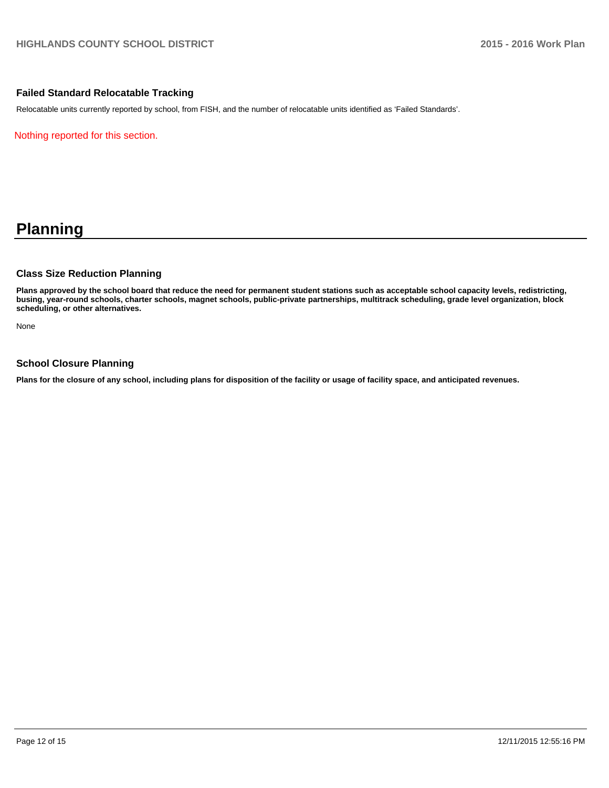### **Failed Standard Relocatable Tracking**

Relocatable units currently reported by school, from FISH, and the number of relocatable units identified as 'Failed Standards'.

Nothing reported for this section.

# **Planning**

#### **Class Size Reduction Planning**

**Plans approved by the school board that reduce the need for permanent student stations such as acceptable school capacity levels, redistricting, busing, year-round schools, charter schools, magnet schools, public-private partnerships, multitrack scheduling, grade level organization, block scheduling, or other alternatives.**

None

### **School Closure Planning**

**Plans for the closure of any school, including plans for disposition of the facility or usage of facility space, and anticipated revenues.**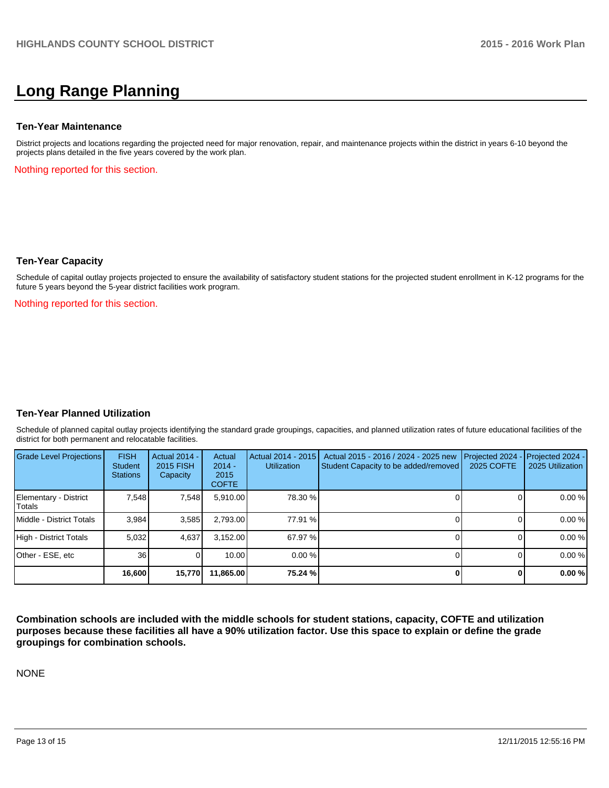# **Long Range Planning**

#### **Ten-Year Maintenance**

District projects and locations regarding the projected need for major renovation, repair, and maintenance projects within the district in years 6-10 beyond the projects plans detailed in the five years covered by the work plan.

Nothing reported for this section.

#### **Ten-Year Capacity**

Schedule of capital outlay projects projected to ensure the availability of satisfactory student stations for the projected student enrollment in K-12 programs for the future 5 years beyond the 5-year district facilities work program.

Nothing reported for this section.

#### **Ten-Year Planned Utilization**

Schedule of planned capital outlay projects identifying the standard grade groupings, capacities, and planned utilization rates of future educational facilities of the district for both permanent and relocatable facilities.

| Grade Level Projections         | <b>FISH</b><br>Student<br><b>Stations</b> | <b>Actual 2014 -</b><br>2015 FISH<br>Capacity | Actual<br>$2014 -$<br>2015<br><b>COFTE</b> | Actual 2014 - 2015<br><b>Utilization</b> | Actual 2015 - 2016 / 2024 - 2025 new<br>Student Capacity to be added/removed | Projected 2024<br>2025 COFTE | $-$ Projected 2024 -<br>2025 Utilization |
|---------------------------------|-------------------------------------------|-----------------------------------------------|--------------------------------------------|------------------------------------------|------------------------------------------------------------------------------|------------------------------|------------------------------------------|
| Elementary - District<br>Totals | 7.548                                     | 7,548                                         | 5,910.00                                   | 78.30 %                                  |                                                                              |                              | 0.00%                                    |
| Middle - District Totals        | 3.984                                     | 3,585                                         | 2,793.00                                   | 77.91 %                                  |                                                                              |                              | 0.00%                                    |
| High - District Totals          | 5.032                                     | 4,637                                         | 3.152.00                                   | 67.97 %                                  |                                                                              |                              | 0.00%                                    |
| Other - ESE, etc                | 36                                        |                                               | 10.00                                      | $0.00\%$                                 |                                                                              |                              | 0.00%                                    |
|                                 | 16,600                                    | 15,770                                        | 11,865.00                                  | 75.24 %                                  |                                                                              |                              | 0.00%                                    |

**Combination schools are included with the middle schools for student stations, capacity, COFTE and utilization purposes because these facilities all have a 90% utilization factor. Use this space to explain or define the grade groupings for combination schools.**

NONE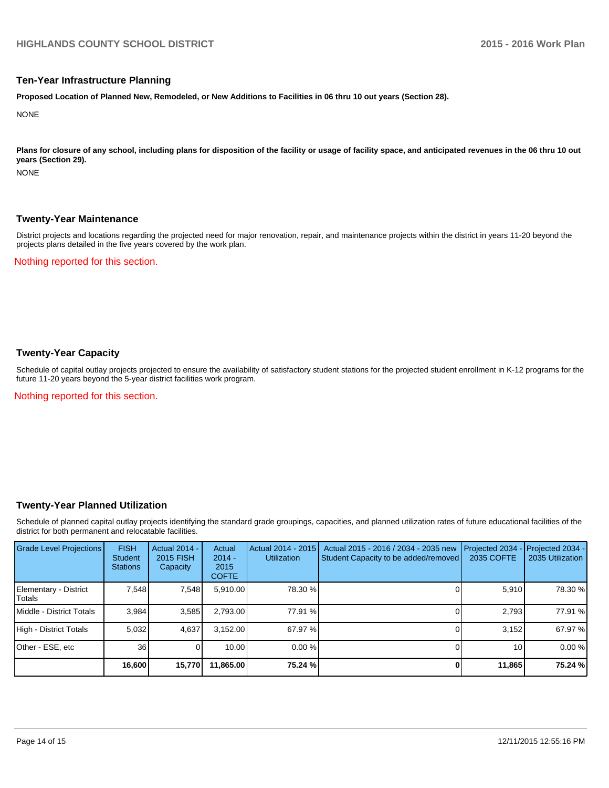#### **Ten-Year Infrastructure Planning**

**Proposed Location of Planned New, Remodeled, or New Additions to Facilities in 06 thru 10 out years (Section 28).**

**NONE** 

Plans for closure of any school, including plans for disposition of the facility or usage of facility space, and anticipated revenues in the 06 thru 10 out **years (Section 29).**

**NONE** 

#### **Twenty-Year Maintenance**

District projects and locations regarding the projected need for major renovation, repair, and maintenance projects within the district in years 11-20 beyond the projects plans detailed in the five years covered by the work plan.

Nothing reported for this section.

### **Twenty-Year Capacity**

Schedule of capital outlay projects projected to ensure the availability of satisfactory student stations for the projected student enrollment in K-12 programs for the future 11-20 years beyond the 5-year district facilities work program.

Nothing reported for this section.

#### **Twenty-Year Planned Utilization**

Schedule of planned capital outlay projects identifying the standard grade groupings, capacities, and planned utilization rates of future educational facilities of the district for both permanent and relocatable facilities.

| <b>Grade Level Projections</b>   | <b>FISH</b><br><b>Student</b><br><b>Stations</b> | <b>Actual 2014 -</b><br>2015 FISH<br>Capacity | Actual<br>$2014 -$<br>2015<br><b>COFTE</b> | Actual 2014 - 2015<br><b>Utilization</b> | Actual 2015 - 2016 / 2034 - 2035 new<br>Student Capacity to be added/removed | Projected 2034<br>2035 COFTE | Projected 2034 -<br>2035 Utilization |
|----------------------------------|--------------------------------------------------|-----------------------------------------------|--------------------------------------------|------------------------------------------|------------------------------------------------------------------------------|------------------------------|--------------------------------------|
| Elementary - District<br> Totals | 7.548                                            | 7,548                                         | 5,910.00                                   | 78.30 %                                  |                                                                              | 5,910                        | 78.30 %                              |
| Middle - District Totals         | 3.984                                            | 3,585                                         | 2.793.00                                   | 77.91 %                                  |                                                                              | 2.793                        | 77.91 %                              |
| High - District Totals           | 5.032                                            | 4,637                                         | 3,152.00                                   | 67.97 %                                  |                                                                              | 3.152                        | 67.97 %                              |
| Other - ESE, etc                 | 36                                               |                                               | 10.00                                      | 0.00%                                    |                                                                              | 10 <sup>1</sup>              | 0.00%                                |
|                                  | 16,600                                           | 15,770                                        | 11,865.00                                  | 75.24 %                                  |                                                                              | 11,865                       | 75.24 %                              |